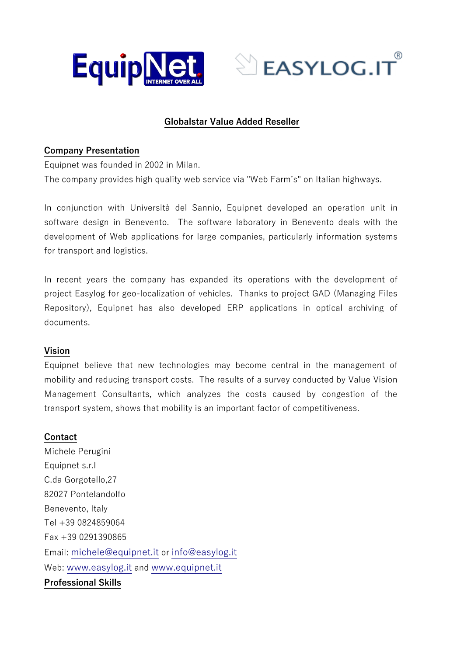



## **Globalstar Value Added Reseller**

#### **Company Presentation**

Equipnet was founded in 2002 in Milan.

The company provides high quality web service via "Web Farm's" on Italian highways.

In conjunction with Università del Sannio, Equipnet developed an operation unit in software design in Benevento. The software laboratory in Benevento deals with the development of Web applications for large companies, particularly information systems for transport and logistics.

In recent years the company has expanded its operations with the development of project Easylog for geo-localization of vehicles. Thanks to project GAD (Managing Files Repository), Equipnet has also developed ERP applications in optical archiving of documents.

## **Vision**

Equipnet believe that new technologies may become central in the management of mobility and reducing transport costs. The results of a survey conducted by Value Vision Management Consultants, which analyzes the costs caused by congestion of the transport system, shows that mobility is an important factor of competitiveness.

#### **Contact**

Michele Perugini Equipnet s.r.l C.da Gorgotello,27 82027 Pontelandolfo Benevento, Italy Tel +39 0824859064 Fax +39 0291390865 Email: [michele@equipnet.it](mailto:michele@equipnet.it) or [info@easylog.it](mailto:info@easylog.it) Web: [www.easylog.it](http://www.easylog.it/) and [www.equipnet.it](http://www.equipnet.it/) **Professional Skills**